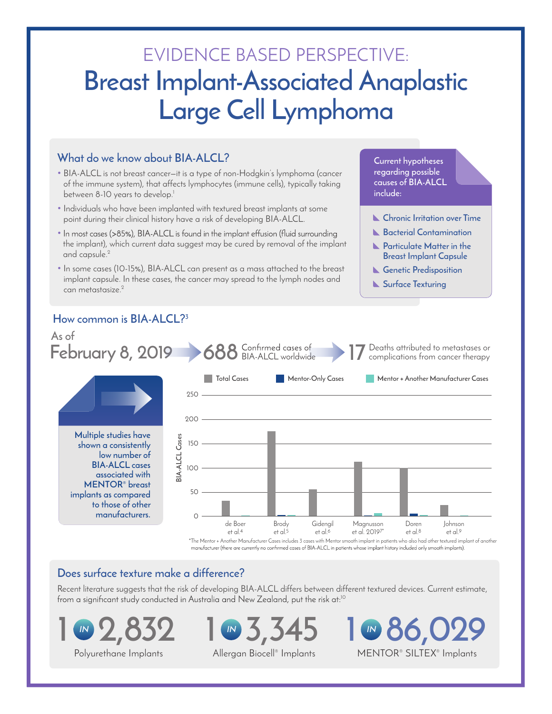# EVIDENCE BASED PERSPECTIVE: **Breast Implant-Associated Anaplastic Large Cell Lymphoma**

## **What do we know about BIA-ALCL?**

- BIA-ALCL is not breast cancer—it is a type of non-Hodgkin's lymphoma (cancer of the immune system), that affects lymphocytes (immune cells), typically taking between 8-10 years to develop.<sup>1</sup>
- Individuals who have been implanted with textured breast implants at some point during their clinical history have a risk of developing BIA-ALCL.
- In most cases (>85%), BIA-ALCL is found in the implant effusion (fluid surrounding the implant), which current data suggest may be cured by removal of the implant and capsule.<sup>2</sup>
- In some cases (10-15%), BIA-ALCL can present as a mass attached to the breast implant capsule. In these cases, the cancer may spread to the lymph nodes and can metastasize.<sup>2</sup>

## **How common is BIA-ALCL?3**



#### **Does surface texture make a difference?**

Recent literature suggests that the risk of developing BIA-ALCL differs between different textured devices. Current estimate,<br>from a significant study conducted in Australia and New Zealand, put the risk at:<sup>10</sup>





**1 86,029**  MENTOR® SILTEX® Implants **IN**

**Current hypotheses regarding possible causes of BIA-ALCL** 

**Chronic Irritation over Time Bacterial Contamination Particulate Matter in the Breast Implant Capsule Genetic Predisposition Surface Texturing**

**include:** 

Allergan Biocell® Implants